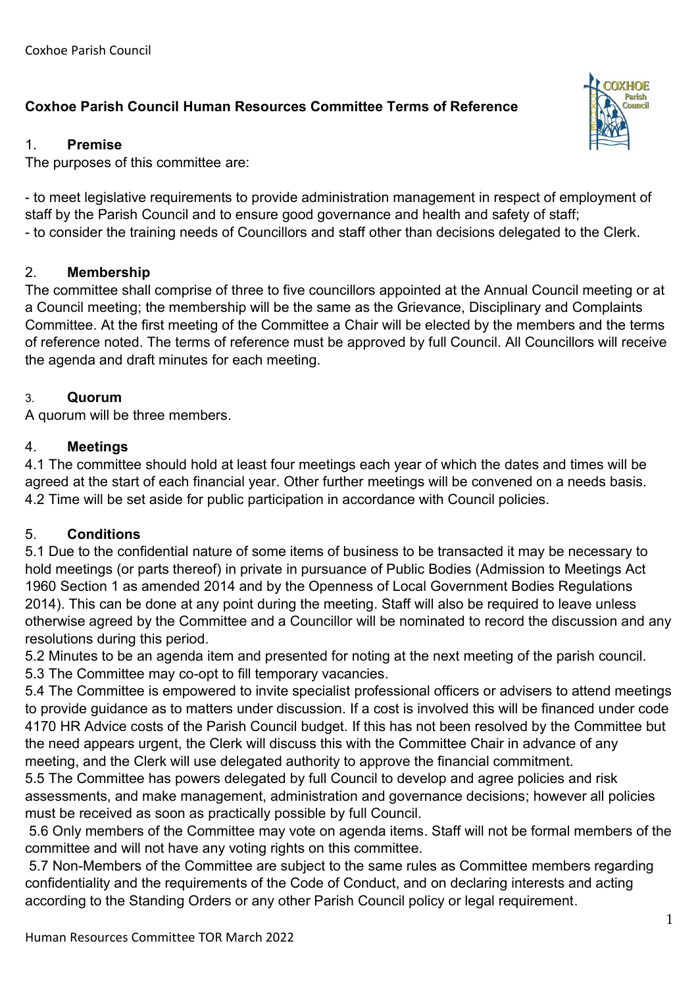# **Coxhoe Parish Council Human Resources Committee Terms of Reference**

### 1. **Premise**

The purposes of this committee are:

- to meet legislative requirements to provide administration management in respect of employment of staff by the Parish Council and to ensure good governance and health and safety of staff; - to consider the training needs of Councillors and staff other than decisions delegated to the Clerk.

### 2. **Membership**

The committee shall comprise of three to five councillors appointed at the Annual Council meeting or at a Council meeting; the membership will be the same as the Grievance, Disciplinary and Complaints Committee. At the first meeting of the Committee a Chair will be elected by the members and the terms of reference noted. The terms of reference must be approved by full Council. All Councillors will receive the agenda and draft minutes for each meeting.

### 3. **Quorum**

A quorum will be three members.

#### 4. **Meetings**

4.1 The committee should hold at least four meetings each year of which the dates and times will be agreed at the start of each financial year. Other further meetings will be convened on a needs basis. 4.2 Time will be set aside for public participation in accordance with Council policies.

### 5. **Conditions**

5.1 Due to the confidential nature of some items of business to be transacted it may be necessary to hold meetings (or parts thereof) in private in pursuance of Public Bodies (Admission to Meetings Act 1960 Section 1 as amended 2014 and by the Openness of Local Government Bodies Regulations 2014). This can be done at any point during the meeting. Staff will also be required to leave unless otherwise agreed by the Committee and a Councillor will be nominated to record the discussion and any resolutions during this period.

5.2 Minutes to be an agenda item and presented for noting at the next meeting of the parish council. 5.3 The Committee may co-opt to fill temporary vacancies.

5.4 The Committee is empowered to invite specialist professional officers or advisers to attend meetings to provide guidance as to matters under discussion. If a cost is involved this will be financed under code 4170 HR Advice costs of the Parish Council budget. If this has not been resolved by the Committee but the need appears urgent, the Clerk will discuss this with the Committee Chair in advance of any meeting, and the Clerk will use delegated authority to approve the financial commitment.

5.5 The Committee has powers delegated by full Council to develop and agree policies and risk assessments, and make management, administration and governance decisions; however all policies must be received as soon as practically possible by full Council.

5.6 Only members of the Committee may vote on agenda items. Staff will not be formal members of the committee and will not have any voting rights on this committee.

5.7 Non-Members of the Committee are subject to the same rules as Committee members regarding confidentiality and the requirements of the Code of Conduct, and on declaring interests and acting according to the Standing Orders or any other Parish Council policy or legal requirement.